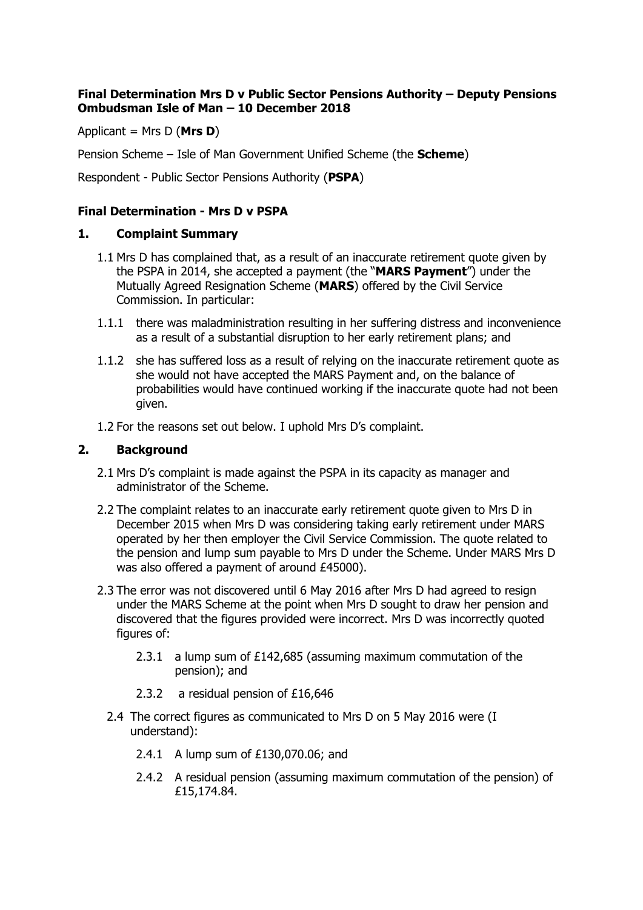## **Final Determination Mrs D v Public Sector Pensions Authority – Deputy Pensions Ombudsman Isle of Man – 10 December 2018**

Applicant = Mrs D (**Mrs D**)

Pension Scheme – Isle of Man Government Unified Scheme (the **Scheme**)

Respondent - Public Sector Pensions Authority (**PSPA**)

# **Final Determination - Mrs D v PSPA**

## **1. Complaint Summary**

- 1.1 Mrs D has complained that, as a result of an inaccurate retirement quote given by the PSPA in 2014, she accepted a payment (the "**MARS Payment**") under the Mutually Agreed Resignation Scheme (**MARS**) offered by the Civil Service Commission. In particular:
- 1.1.1 there was maladministration resulting in her suffering distress and inconvenience as a result of a substantial disruption to her early retirement plans; and
- 1.1.2 she has suffered loss as a result of relying on the inaccurate retirement quote as she would not have accepted the MARS Payment and, on the balance of probabilities would have continued working if the inaccurate quote had not been given.
- 1.2 For the reasons set out below. I uphold Mrs D's complaint.

## **2. Background**

- 2.1 Mrs D's complaint is made against the PSPA in its capacity as manager and administrator of the Scheme.
- 2.2 The complaint relates to an inaccurate early retirement quote given to Mrs D in December 2015 when Mrs D was considering taking early retirement under MARS operated by her then employer the Civil Service Commission. The quote related to the pension and lump sum payable to Mrs D under the Scheme. Under MARS Mrs D was also offered a payment of around £45000).
- 2.3 The error was not discovered until 6 May 2016 after Mrs D had agreed to resign under the MARS Scheme at the point when Mrs D sought to draw her pension and discovered that the figures provided were incorrect. Mrs D was incorrectly quoted figures of:
	- 2.3.1 a lump sum of £142,685 (assuming maximum commutation of the pension); and
	- 2.3.2 a residual pension of £16,646
	- 2.4 The correct figures as communicated to Mrs D on 5 May 2016 were (I understand):
		- 2.4.1 A lump sum of £130,070.06; and
		- 2.4.2 A residual pension (assuming maximum commutation of the pension) of £15,174.84.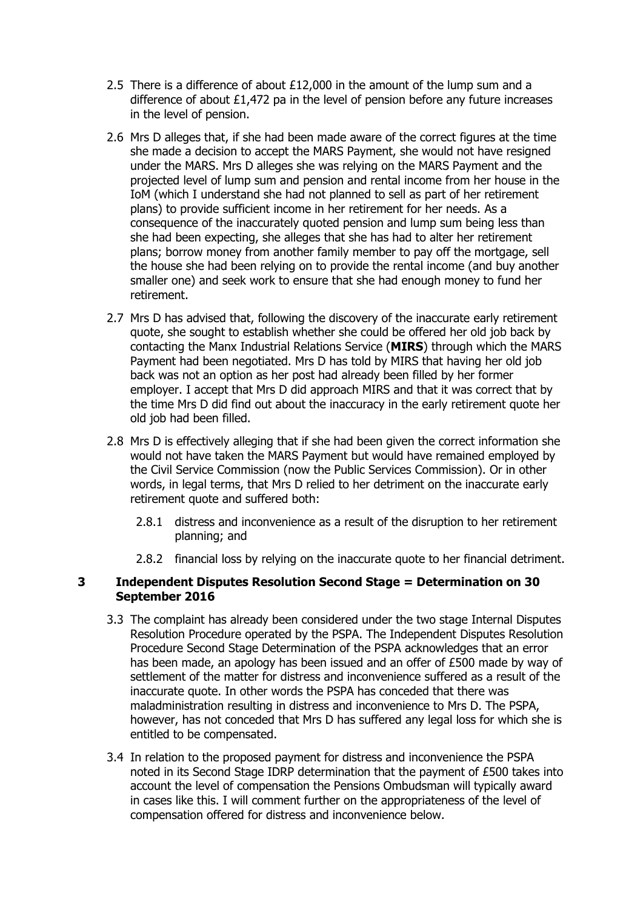- 2.5 There is a difference of about  $£12,000$  in the amount of the lump sum and a difference of about £1,472 pa in the level of pension before any future increases in the level of pension.
- 2.6 Mrs D alleges that, if she had been made aware of the correct figures at the time she made a decision to accept the MARS Payment, she would not have resigned under the MARS. Mrs D alleges she was relying on the MARS Payment and the projected level of lump sum and pension and rental income from her house in the IoM (which I understand she had not planned to sell as part of her retirement plans) to provide sufficient income in her retirement for her needs. As a consequence of the inaccurately quoted pension and lump sum being less than she had been expecting, she alleges that she has had to alter her retirement plans; borrow money from another family member to pay off the mortgage, sell the house she had been relying on to provide the rental income (and buy another smaller one) and seek work to ensure that she had enough money to fund her retirement.
- 2.7 Mrs D has advised that, following the discovery of the inaccurate early retirement quote, she sought to establish whether she could be offered her old job back by contacting the Manx Industrial Relations Service (**MIRS**) through which the MARS Payment had been negotiated. Mrs D has told by MIRS that having her old job back was not an option as her post had already been filled by her former employer. I accept that Mrs D did approach MIRS and that it was correct that by the time Mrs D did find out about the inaccuracy in the early retirement quote her old job had been filled.
- 2.8 Mrs D is effectively alleging that if she had been given the correct information she would not have taken the MARS Payment but would have remained employed by the Civil Service Commission (now the Public Services Commission). Or in other words, in legal terms, that Mrs D relied to her detriment on the inaccurate early retirement quote and suffered both:
	- 2.8.1 distress and inconvenience as a result of the disruption to her retirement planning; and
	- 2.8.2 financial loss by relying on the inaccurate quote to her financial detriment.

## **3 Independent Disputes Resolution Second Stage = Determination on 30 September 2016**

- 3.3 The complaint has already been considered under the two stage Internal Disputes Resolution Procedure operated by the PSPA. The Independent Disputes Resolution Procedure Second Stage Determination of the PSPA acknowledges that an error has been made, an apology has been issued and an offer of £500 made by way of settlement of the matter for distress and inconvenience suffered as a result of the inaccurate quote. In other words the PSPA has conceded that there was maladministration resulting in distress and inconvenience to Mrs D. The PSPA, however, has not conceded that Mrs D has suffered any legal loss for which she is entitled to be compensated.
- 3.4 In relation to the proposed payment for distress and inconvenience the PSPA noted in its Second Stage IDRP determination that the payment of £500 takes into account the level of compensation the Pensions Ombudsman will typically award in cases like this. I will comment further on the appropriateness of the level of compensation offered for distress and inconvenience below.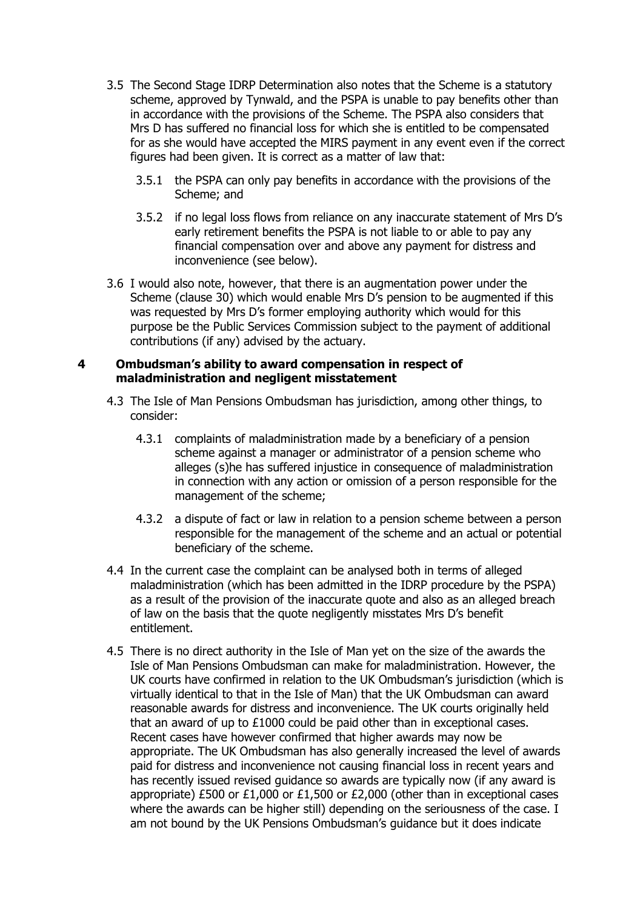- 3.5 The Second Stage IDRP Determination also notes that the Scheme is a statutory scheme, approved by Tynwald, and the PSPA is unable to pay benefits other than in accordance with the provisions of the Scheme. The PSPA also considers that Mrs D has suffered no financial loss for which she is entitled to be compensated for as she would have accepted the MIRS payment in any event even if the correct figures had been given. It is correct as a matter of law that:
	- 3.5.1 the PSPA can only pay benefits in accordance with the provisions of the Scheme; and
	- 3.5.2 if no legal loss flows from reliance on any inaccurate statement of Mrs D's early retirement benefits the PSPA is not liable to or able to pay any financial compensation over and above any payment for distress and inconvenience (see below).
- 3.6 I would also note, however, that there is an augmentation power under the Scheme (clause 30) which would enable Mrs D's pension to be augmented if this was requested by Mrs D's former employing authority which would for this purpose be the Public Services Commission subject to the payment of additional contributions (if any) advised by the actuary.

#### **4 Ombudsman's ability to award compensation in respect of maladministration and negligent misstatement**

- 4.3 The Isle of Man Pensions Ombudsman has jurisdiction, among other things, to consider:
	- 4.3.1 complaints of maladministration made by a beneficiary of a pension scheme against a manager or administrator of a pension scheme who alleges (s)he has suffered injustice in consequence of maladministration in connection with any action or omission of a person responsible for the management of the scheme;
	- 4.3.2 a dispute of fact or law in relation to a pension scheme between a person responsible for the management of the scheme and an actual or potential beneficiary of the scheme.
- 4.4 In the current case the complaint can be analysed both in terms of alleged maladministration (which has been admitted in the IDRP procedure by the PSPA) as a result of the provision of the inaccurate quote and also as an alleged breach of law on the basis that the quote negligently misstates Mrs D's benefit entitlement.
- 4.5 There is no direct authority in the Isle of Man yet on the size of the awards the Isle of Man Pensions Ombudsman can make for maladministration. However, the UK courts have confirmed in relation to the UK Ombudsman's jurisdiction (which is virtually identical to that in the Isle of Man) that the UK Ombudsman can award reasonable awards for distress and inconvenience. The UK courts originally held that an award of up to £1000 could be paid other than in exceptional cases. Recent cases have however confirmed that higher awards may now be appropriate. The UK Ombudsman has also generally increased the level of awards paid for distress and inconvenience not causing financial loss in recent years and has recently issued revised guidance so awards are typically now (if any award is appropriate) £500 or £1,000 or £1,500 or £2,000 (other than in exceptional cases where the awards can be higher still) depending on the seriousness of the case. I am not bound by the UK Pensions Ombudsman's guidance but it does indicate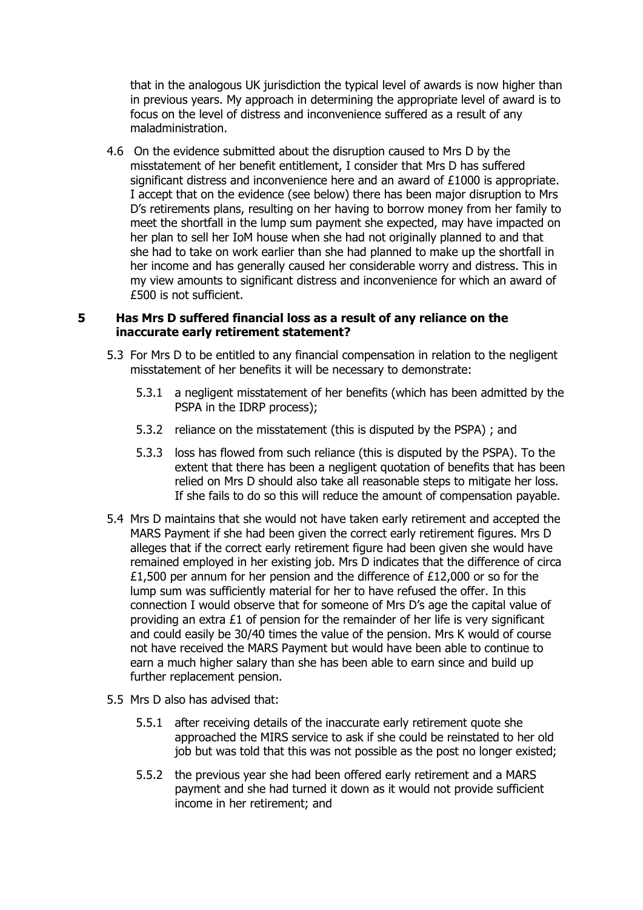that in the analogous UK jurisdiction the typical level of awards is now higher than in previous years. My approach in determining the appropriate level of award is to focus on the level of distress and inconvenience suffered as a result of any maladministration.

4.6 On the evidence submitted about the disruption caused to Mrs D by the misstatement of her benefit entitlement, I consider that Mrs D has suffered significant distress and inconvenience here and an award of £1000 is appropriate. I accept that on the evidence (see below) there has been major disruption to Mrs D's retirements plans, resulting on her having to borrow money from her family to meet the shortfall in the lump sum payment she expected, may have impacted on her plan to sell her IoM house when she had not originally planned to and that she had to take on work earlier than she had planned to make up the shortfall in her income and has generally caused her considerable worry and distress. This in my view amounts to significant distress and inconvenience for which an award of £500 is not sufficient.

#### **5 Has Mrs D suffered financial loss as a result of any reliance on the inaccurate early retirement statement?**

- 5.3 For Mrs D to be entitled to any financial compensation in relation to the negligent misstatement of her benefits it will be necessary to demonstrate:
	- 5.3.1 a negligent misstatement of her benefits (which has been admitted by the PSPA in the IDRP process);
	- 5.3.2 reliance on the misstatement (this is disputed by the PSPA) ; and
	- 5.3.3 loss has flowed from such reliance (this is disputed by the PSPA). To the extent that there has been a negligent quotation of benefits that has been relied on Mrs D should also take all reasonable steps to mitigate her loss. If she fails to do so this will reduce the amount of compensation payable.
- 5.4 Mrs D maintains that she would not have taken early retirement and accepted the MARS Payment if she had been given the correct early retirement figures. Mrs D alleges that if the correct early retirement figure had been given she would have remained employed in her existing job. Mrs D indicates that the difference of circa £1,500 per annum for her pension and the difference of £12,000 or so for the lump sum was sufficiently material for her to have refused the offer. In this connection I would observe that for someone of Mrs D's age the capital value of providing an extra  $E1$  of pension for the remainder of her life is very significant and could easily be 30/40 times the value of the pension. Mrs K would of course not have received the MARS Payment but would have been able to continue to earn a much higher salary than she has been able to earn since and build up further replacement pension.
- 5.5 Mrs D also has advised that:
	- 5.5.1 after receiving details of the inaccurate early retirement quote she approached the MIRS service to ask if she could be reinstated to her old job but was told that this was not possible as the post no longer existed;
	- 5.5.2 the previous year she had been offered early retirement and a MARS payment and she had turned it down as it would not provide sufficient income in her retirement; and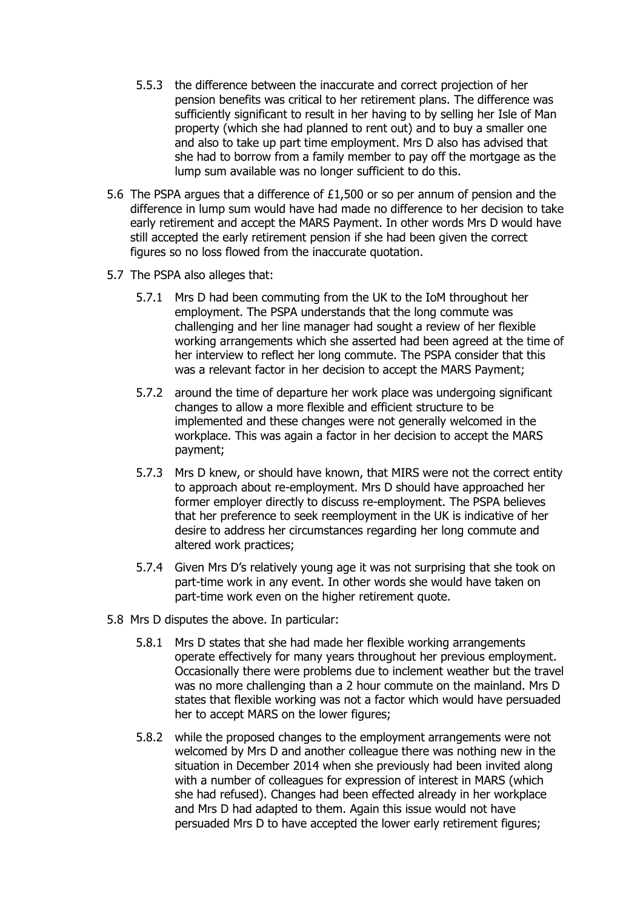- 5.5.3 the difference between the inaccurate and correct projection of her pension benefits was critical to her retirement plans. The difference was sufficiently significant to result in her having to by selling her Isle of Man property (which she had planned to rent out) and to buy a smaller one and also to take up part time employment. Mrs D also has advised that she had to borrow from a family member to pay off the mortgage as the lump sum available was no longer sufficient to do this.
- 5.6 The PSPA argues that a difference of £1,500 or so per annum of pension and the difference in lump sum would have had made no difference to her decision to take early retirement and accept the MARS Payment. In other words Mrs D would have still accepted the early retirement pension if she had been given the correct figures so no loss flowed from the inaccurate quotation.
- 5.7 The PSPA also alleges that:
	- 5.7.1 Mrs D had been commuting from the UK to the IoM throughout her employment. The PSPA understands that the long commute was challenging and her line manager had sought a review of her flexible working arrangements which she asserted had been agreed at the time of her interview to reflect her long commute. The PSPA consider that this was a relevant factor in her decision to accept the MARS Payment;
	- 5.7.2 around the time of departure her work place was undergoing significant changes to allow a more flexible and efficient structure to be implemented and these changes were not generally welcomed in the workplace. This was again a factor in her decision to accept the MARS payment;
	- 5.7.3 Mrs D knew, or should have known, that MIRS were not the correct entity to approach about re-employment. Mrs D should have approached her former employer directly to discuss re-employment. The PSPA believes that her preference to seek reemployment in the UK is indicative of her desire to address her circumstances regarding her long commute and altered work practices;
	- 5.7.4 Given Mrs D's relatively young age it was not surprising that she took on part-time work in any event. In other words she would have taken on part-time work even on the higher retirement quote.
- 5.8 Mrs D disputes the above. In particular:
	- 5.8.1 Mrs D states that she had made her flexible working arrangements operate effectively for many years throughout her previous employment. Occasionally there were problems due to inclement weather but the travel was no more challenging than a 2 hour commute on the mainland. Mrs D states that flexible working was not a factor which would have persuaded her to accept MARS on the lower figures;
	- 5.8.2 while the proposed changes to the employment arrangements were not welcomed by Mrs D and another colleague there was nothing new in the situation in December 2014 when she previously had been invited along with a number of colleagues for expression of interest in MARS (which she had refused). Changes had been effected already in her workplace and Mrs D had adapted to them. Again this issue would not have persuaded Mrs D to have accepted the lower early retirement figures;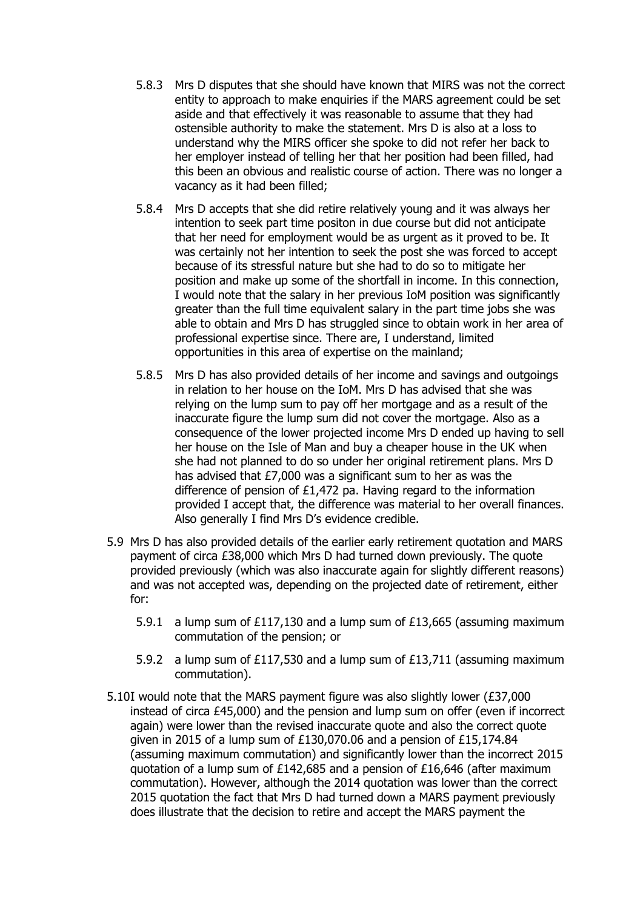- 5.8.3 Mrs D disputes that she should have known that MIRS was not the correct entity to approach to make enquiries if the MARS agreement could be set aside and that effectively it was reasonable to assume that they had ostensible authority to make the statement. Mrs D is also at a loss to understand why the MIRS officer she spoke to did not refer her back to her employer instead of telling her that her position had been filled, had this been an obvious and realistic course of action. There was no longer a vacancy as it had been filled;
- 5.8.4 Mrs D accepts that she did retire relatively young and it was always her intention to seek part time positon in due course but did not anticipate that her need for employment would be as urgent as it proved to be. It was certainly not her intention to seek the post she was forced to accept because of its stressful nature but she had to do so to mitigate her position and make up some of the shortfall in income. In this connection, I would note that the salary in her previous IoM position was significantly greater than the full time equivalent salary in the part time jobs she was able to obtain and Mrs D has struggled since to obtain work in her area of professional expertise since. There are, I understand, limited opportunities in this area of expertise on the mainland;
- 5.8.5 Mrs D has also provided details of her income and savings and outgoings in relation to her house on the IoM. Mrs D has advised that she was relying on the lump sum to pay off her mortgage and as a result of the inaccurate figure the lump sum did not cover the mortgage. Also as a consequence of the lower projected income Mrs D ended up having to sell her house on the Isle of Man and buy a cheaper house in the UK when she had not planned to do so under her original retirement plans. Mrs D has advised that £7,000 was a significant sum to her as was the difference of pension of £1,472 pa. Having regard to the information provided I accept that, the difference was material to her overall finances. Also generally I find Mrs D's evidence credible.
- 5.9 Mrs D has also provided details of the earlier early retirement quotation and MARS payment of circa £38,000 which Mrs D had turned down previously. The quote provided previously (which was also inaccurate again for slightly different reasons) and was not accepted was, depending on the projected date of retirement, either for:
	- 5.9.1 a lump sum of £117,130 and a lump sum of £13,665 (assuming maximum commutation of the pension; or
	- 5.9.2 a lump sum of £117,530 and a lump sum of £13,711 (assuming maximum commutation).
- 5.10I would note that the MARS payment figure was also slightly lower (£37,000 instead of circa £45,000) and the pension and lump sum on offer (even if incorrect again) were lower than the revised inaccurate quote and also the correct quote given in 2015 of a lump sum of £130,070.06 and a pension of £15,174.84 (assuming maximum commutation) and significantly lower than the incorrect 2015 quotation of a lump sum of £142,685 and a pension of £16,646 (after maximum commutation). However, although the 2014 quotation was lower than the correct 2015 quotation the fact that Mrs D had turned down a MARS payment previously does illustrate that the decision to retire and accept the MARS payment the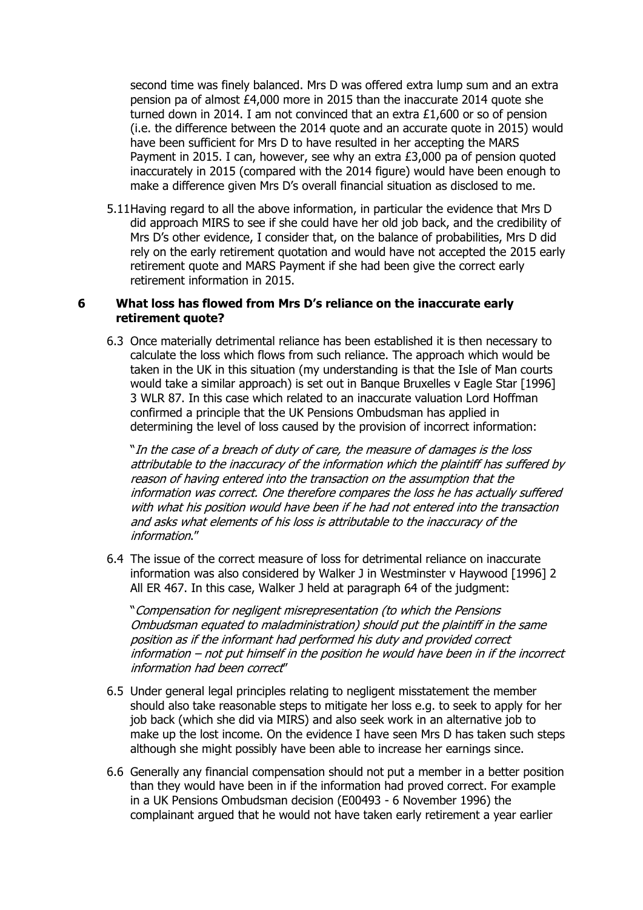second time was finely balanced. Mrs D was offered extra lump sum and an extra pension pa of almost £4,000 more in 2015 than the inaccurate 2014 quote she turned down in 2014. I am not convinced that an extra £1,600 or so of pension (i.e. the difference between the 2014 quote and an accurate quote in 2015) would have been sufficient for Mrs D to have resulted in her accepting the MARS Payment in 2015. I can, however, see why an extra £3,000 pa of pension quoted inaccurately in 2015 (compared with the 2014 figure) would have been enough to make a difference given Mrs D's overall financial situation as disclosed to me.

5.11Having regard to all the above information, in particular the evidence that Mrs D did approach MIRS to see if she could have her old job back, and the credibility of Mrs D's other evidence, I consider that, on the balance of probabilities, Mrs D did rely on the early retirement quotation and would have not accepted the 2015 early retirement quote and MARS Payment if she had been give the correct early retirement information in 2015.

#### **6 What loss has flowed from Mrs D's reliance on the inaccurate early retirement quote?**

6.3 Once materially detrimental reliance has been established it is then necessary to calculate the loss which flows from such reliance. The approach which would be taken in the UK in this situation (my understanding is that the Isle of Man courts would take a similar approach) is set out in Banque Bruxelles v Eagle Star [1996] 3 WLR 87. In this case which related to an inaccurate valuation Lord Hoffman confirmed a principle that the UK Pensions Ombudsman has applied in determining the level of loss caused by the provision of incorrect information:

"In the case of a breach of duty of care, the measure of damages is the loss attributable to the inaccuracy of the information which the plaintiff has suffered by reason of having entered into the transaction on the assumption that the information was correct. One therefore compares the loss he has actually suffered with what his position would have been if he had not entered into the transaction and asks what elements of his loss is attributable to the inaccuracy of the information."

6.4 The issue of the correct measure of loss for detrimental reliance on inaccurate information was also considered by Walker J in Westminster v Haywood [1996] 2 All ER 467. In this case, Walker J held at paragraph 64 of the judgment:

"Compensation for negligent misrepresentation (to which the Pensions Ombudsman equated to maladministration) should put the plaintiff in the same position as if the informant had performed his duty and provided correct information – not put himself in the position he would have been in if the incorrect information had been correct"

- 6.5 Under general legal principles relating to negligent misstatement the member should also take reasonable steps to mitigate her loss e.g. to seek to apply for her job back (which she did via MIRS) and also seek work in an alternative job to make up the lost income. On the evidence I have seen Mrs D has taken such steps although she might possibly have been able to increase her earnings since.
- 6.6 Generally any financial compensation should not put a member in a better position than they would have been in if the information had proved correct. For example in a UK Pensions Ombudsman decision (E00493 - 6 November 1996) the complainant argued that he would not have taken early retirement a year earlier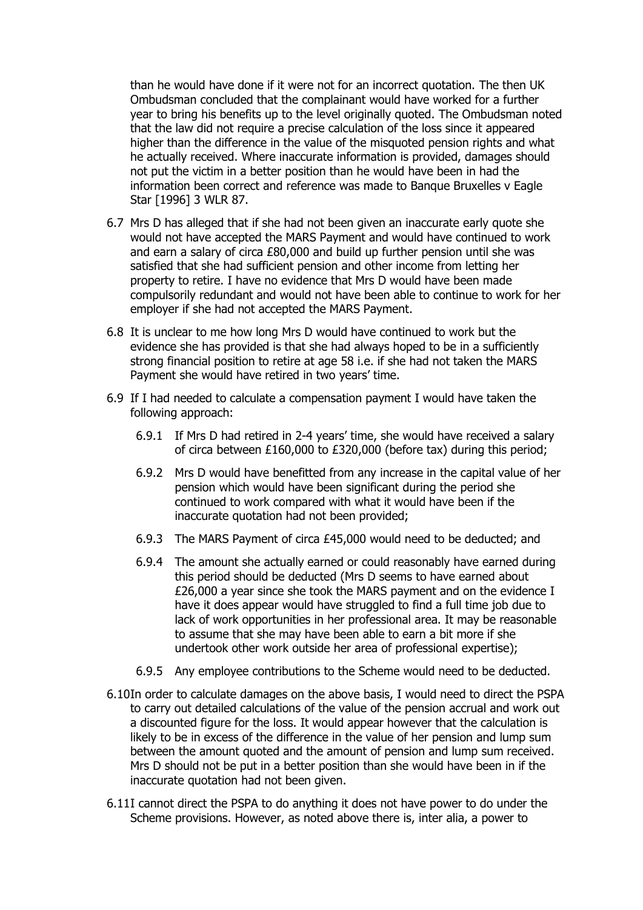than he would have done if it were not for an incorrect quotation. The then UK Ombudsman concluded that the complainant would have worked for a further year to bring his benefits up to the level originally quoted. The Ombudsman noted that the law did not require a precise calculation of the loss since it appeared higher than the difference in the value of the misquoted pension rights and what he actually received. Where inaccurate information is provided, damages should not put the victim in a better position than he would have been in had the information been correct and reference was made to Banque Bruxelles v Eagle Star [1996] 3 WLR 87.

- 6.7 Mrs D has alleged that if she had not been given an inaccurate early quote she would not have accepted the MARS Payment and would have continued to work and earn a salary of circa £80,000 and build up further pension until she was satisfied that she had sufficient pension and other income from letting her property to retire. I have no evidence that Mrs D would have been made compulsorily redundant and would not have been able to continue to work for her employer if she had not accepted the MARS Payment.
- 6.8 It is unclear to me how long Mrs D would have continued to work but the evidence she has provided is that she had always hoped to be in a sufficiently strong financial position to retire at age 58 i.e. if she had not taken the MARS Payment she would have retired in two years' time.
- 6.9 If I had needed to calculate a compensation payment I would have taken the following approach:
	- 6.9.1 If Mrs D had retired in 2-4 years' time, she would have received a salary of circa between £160,000 to £320,000 (before tax) during this period;
	- 6.9.2 Mrs D would have benefitted from any increase in the capital value of her pension which would have been significant during the period she continued to work compared with what it would have been if the inaccurate quotation had not been provided;
	- 6.9.3 The MARS Payment of circa £45,000 would need to be deducted; and
	- 6.9.4 The amount she actually earned or could reasonably have earned during this period should be deducted (Mrs D seems to have earned about £26,000 a year since she took the MARS payment and on the evidence I have it does appear would have struggled to find a full time job due to lack of work opportunities in her professional area. It may be reasonable to assume that she may have been able to earn a bit more if she undertook other work outside her area of professional expertise);
	- 6.9.5 Any employee contributions to the Scheme would need to be deducted.
- 6.10In order to calculate damages on the above basis, I would need to direct the PSPA to carry out detailed calculations of the value of the pension accrual and work out a discounted figure for the loss. It would appear however that the calculation is likely to be in excess of the difference in the value of her pension and lump sum between the amount quoted and the amount of pension and lump sum received. Mrs D should not be put in a better position than she would have been in if the inaccurate quotation had not been given.
- 6.11I cannot direct the PSPA to do anything it does not have power to do under the Scheme provisions. However, as noted above there is, inter alia, a power to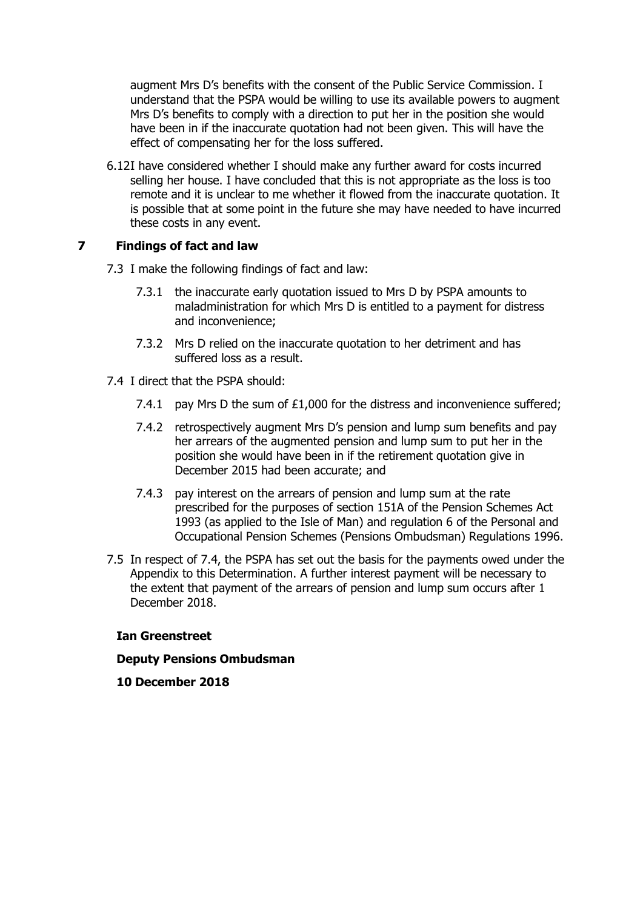augment Mrs D's benefits with the consent of the Public Service Commission. I understand that the PSPA would be willing to use its available powers to augment Mrs D's benefits to comply with a direction to put her in the position she would have been in if the inaccurate quotation had not been given. This will have the effect of compensating her for the loss suffered.

6.12I have considered whether I should make any further award for costs incurred selling her house. I have concluded that this is not appropriate as the loss is too remote and it is unclear to me whether it flowed from the inaccurate quotation. It is possible that at some point in the future she may have needed to have incurred these costs in any event.

## **7 Findings of fact and law**

- 7.3 I make the following findings of fact and law:
	- 7.3.1 the inaccurate early quotation issued to Mrs D by PSPA amounts to maladministration for which Mrs D is entitled to a payment for distress and inconvenience;
	- 7.3.2 Mrs D relied on the inaccurate quotation to her detriment and has suffered loss as a result.
- 7.4 I direct that the PSPA should:
	- 7.4.1 pay Mrs D the sum of  $£1,000$  for the distress and inconvenience suffered;
	- 7.4.2 retrospectively augment Mrs D's pension and lump sum benefits and pay her arrears of the augmented pension and lump sum to put her in the position she would have been in if the retirement quotation give in December 2015 had been accurate; and
	- 7.4.3 pay interest on the arrears of pension and lump sum at the rate prescribed for the purposes of section 151A of the Pension Schemes Act 1993 (as applied to the Isle of Man) and regulation 6 of the Personal and Occupational Pension Schemes (Pensions Ombudsman) Regulations 1996.
- 7.5 In respect of 7.4, the PSPA has set out the basis for the payments owed under the Appendix to this Determination. A further interest payment will be necessary to the extent that payment of the arrears of pension and lump sum occurs after 1 December 2018.

#### **Ian Greenstreet**

#### **Deputy Pensions Ombudsman**

**10 December 2018**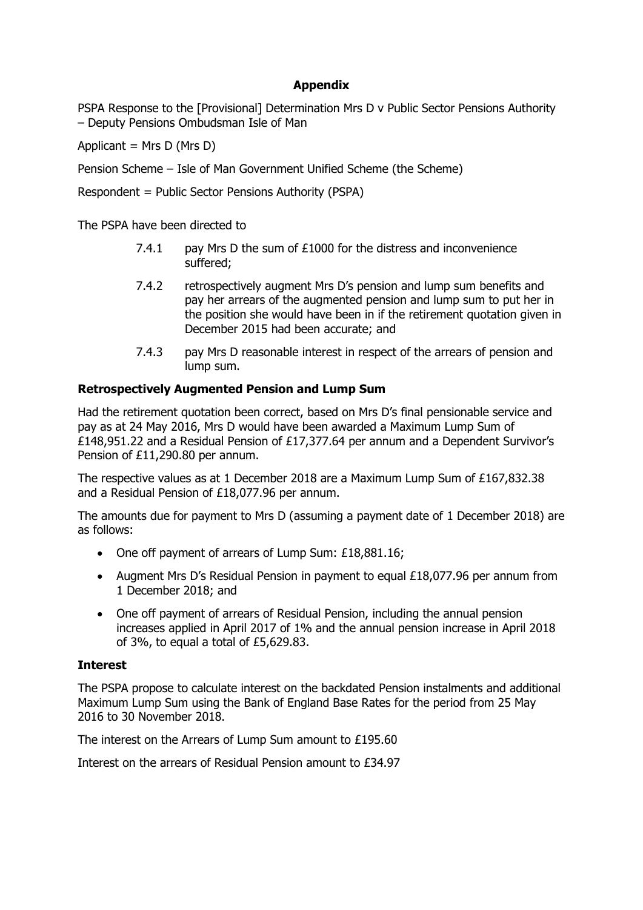# **Appendix**

PSPA Response to the [Provisional] Determination Mrs D v Public Sector Pensions Authority – Deputy Pensions Ombudsman Isle of Man

Applicant = Mrs  $D$  (Mrs  $D$ )

Pension Scheme – Isle of Man Government Unified Scheme (the Scheme)

Respondent = Public Sector Pensions Authority (PSPA)

The PSPA have been directed to

- 7.4.1 pay Mrs D the sum of £1000 for the distress and inconvenience suffered;
- 7.4.2 retrospectively augment Mrs D's pension and lump sum benefits and pay her arrears of the augmented pension and lump sum to put her in the position she would have been in if the retirement quotation given in December 2015 had been accurate; and
- 7.4.3 pay Mrs D reasonable interest in respect of the arrears of pension and lump sum.

## **Retrospectively Augmented Pension and Lump Sum**

Had the retirement quotation been correct, based on Mrs D's final pensionable service and pay as at 24 May 2016, Mrs D would have been awarded a Maximum Lump Sum of £148,951.22 and a Residual Pension of £17,377.64 per annum and a Dependent Survivor's Pension of £11,290.80 per annum.

The respective values as at 1 December 2018 are a Maximum Lump Sum of £167,832.38 and a Residual Pension of £18,077.96 per annum.

The amounts due for payment to Mrs D (assuming a payment date of 1 December 2018) are as follows:

- One off payment of arrears of Lump Sum: £18,881.16;
- Augment Mrs D's Residual Pension in payment to equal £18,077.96 per annum from 1 December 2018; and
- One off payment of arrears of Residual Pension, including the annual pension increases applied in April 2017 of 1% and the annual pension increase in April 2018 of 3%, to equal a total of £5,629.83.

#### **Interest**

The PSPA propose to calculate interest on the backdated Pension instalments and additional Maximum Lump Sum using the Bank of England Base Rates for the period from 25 May 2016 to 30 November 2018.

The interest on the Arrears of Lump Sum amount to £195.60

Interest on the arrears of Residual Pension amount to £34.97